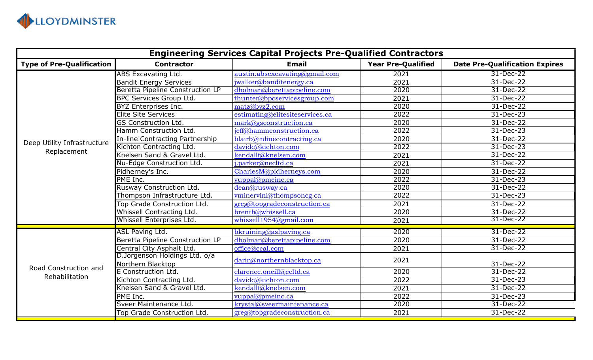

| <b>Engineering Services Capital Projects Pre-Qualified Contractors</b> |                                         |                                 |                           |                                       |  |  |
|------------------------------------------------------------------------|-----------------------------------------|---------------------------------|---------------------------|---------------------------------------|--|--|
| <b>Type of Pre-Qualification</b>                                       | <b>Contractor</b>                       | <b>Email</b>                    | <b>Year Pre-Qualified</b> | <b>Date Pre-Qualification Expires</b> |  |  |
| Deep Utility Infrastructure                                            | <b>ABS Excavating Ltd.</b>              | austin.absexcavating@gmail.com  | 2021                      | 31-Dec-22                             |  |  |
|                                                                        | <b>Bandit Energy Services</b>           | jwalker@banditenergy.ca         | 2021                      | 31-Dec-22                             |  |  |
|                                                                        | <b>Beretta Pipeline Construction LP</b> | dholman@berettapipeline.com     | 2020                      | 31-Dec-22                             |  |  |
|                                                                        | <b>BPC Services Group Ltd.</b>          | thunter@bpcservicesgroup.com    | 2021                      | 31-Dec-22                             |  |  |
|                                                                        | BYZ Enterprises Inc.                    | matz@byz2.com                   | 2020                      | 31-Dec-22                             |  |  |
|                                                                        | <b>Elite Site Services</b>              | estimating@elitesiteservices.ca | 2022                      | 31-Dec-23                             |  |  |
|                                                                        | <b>GS Construction Ltd.</b>             | mark@gsconstruction.ca          | 2020                      | 31-Dec-22                             |  |  |
|                                                                        | Hamm Construction Ltd.                  | jeff@hammconstruction.ca        | 2022                      | 31-Dec-23                             |  |  |
|                                                                        | In-line Contracting Partnership         | blairb@inlinecontracting.ca     | 2020                      | 31-Dec-22                             |  |  |
|                                                                        | Kichton Contracting Ltd.                | davidc@kichton.com              | 2022                      | 31-Dec-23                             |  |  |
| Replacement                                                            | Knelsen Sand & Gravel Ltd.              | kendallt@knelsen.com            | 2021                      | 31-Dec-22                             |  |  |
|                                                                        | Nu-Edge Construction Ltd.               | j.parker@necltd.ca              | 2021                      | 31-Dec-22                             |  |  |
|                                                                        | Pidherney's Inc.                        | CharlesM@pidherneys.com         | 2020                      | 31-Dec-22                             |  |  |
|                                                                        | PME Inc.                                | vuppal@pmeinc.ca                | 2022                      | 31-Dec-23                             |  |  |
|                                                                        | Rusway Construction Ltd.                | dean@rusway.ca                  | 2020                      | 31-Dec-22                             |  |  |
|                                                                        | Thompson Infrastructure Ltd.            | vminervini@thompsoncg.ca        | 2022                      | 31-Dec-23                             |  |  |
|                                                                        | Top Grade Construction Ltd.             | greg@topgradeconstruction.ca    | 2021                      | 31-Dec-22                             |  |  |
|                                                                        | Whissell Contracting Ltd.               | brenth@whissell.ca              | 2020                      | 31-Dec-22                             |  |  |
|                                                                        | Whissell Enterprises Ltd.               | whissell1954@gmail.com          | 2021                      | 31-Dec-22                             |  |  |
| Road Construction and<br>Rehabilitation                                | <b>ASL Paving Ltd.</b>                  | bkruining@aslpaving.ca          | 2020                      | 31-Dec-22                             |  |  |
|                                                                        | Beretta Pipeline Construction LP        | dholman@berettapipeline.com     | 2020                      | 31-Dec-22                             |  |  |
|                                                                        | Central City Asphalt Ltd.               | office@ccal.com                 | 2021                      | 31-Dec-22                             |  |  |
|                                                                        | D.Jorgenson Holdings Ltd. o/a           | darin@northernblacktop.ca       | 2021                      |                                       |  |  |
|                                                                        | Northern Blacktop                       |                                 |                           | 31-Dec-22                             |  |  |
|                                                                        | E Construction Ltd.                     | clarence.oneill@ecltd.ca        | 2020                      | 31-Dec-22                             |  |  |
|                                                                        | Kichton Contracting Ltd.                | davidc@kichton.com              | 2022                      | 31-Dec-23                             |  |  |
|                                                                        | Knelsen Sand & Gravel Ltd.              | kendallt@knelsen.com            | 2021                      | 31-Dec-22                             |  |  |
|                                                                        | PME Inc.                                | vuppal@pmeinc.ca                | 2022                      | 31-Dec-23                             |  |  |
|                                                                        | Sveer Maintenance Ltd.                  | krystal@sveermaintenance.ca     | 2020                      | 31-Dec-22                             |  |  |
|                                                                        | Top Grade Construction Ltd.             | greg@topgradeconstruction.ca    | 2021                      | 31-Dec-22                             |  |  |